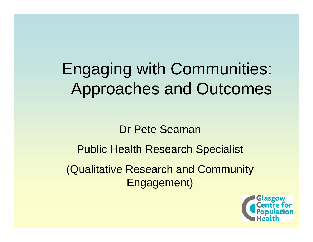# Engaging with Communities: Approaches and Outcomes

# Dr Pete Seaman

Public Health Research Specialist (Qualitative Research and Community Engagement)

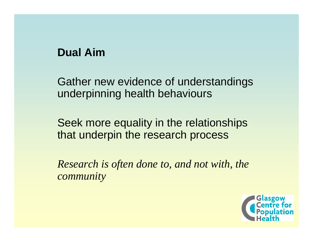# **Dual Aim**

Gather new evidence of understandings underpinning health behaviours

Seek more equality in the relationships that underpin the research process

*Research is often done to, and not with, the community*

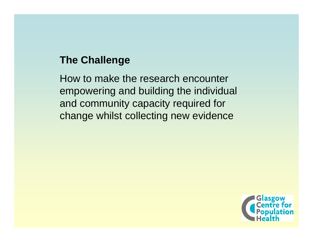# **The Challenge**

How to make the research encounter empowering and building the individual and community capacity required for change whilst collecting new evidence

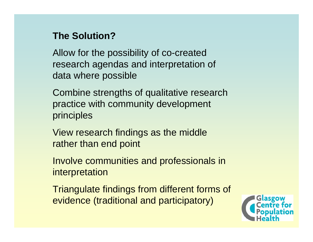## **The Solution?**

Allow for the possibility of co-created research agendas and interpretation of data where possible

Combine strengths of qualitative research practice with community development principles

View research findings as the middle rather than end point

Involve communities and professionals in interpretation

Triangulate findings from different forms of evidence (traditional and participatory)

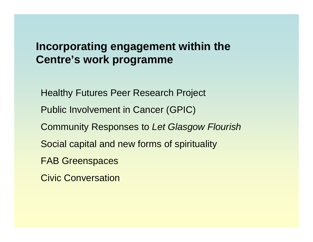# **Incorporating engagement within the Centre's work programme**

Healthy Futures Peer Research Project Public Involvement in Cancer (GPIC) Community Responses to *Let Glasgow Flourish* Social capital and new forms of spirituality

FAB Greenspaces

Civic Conversation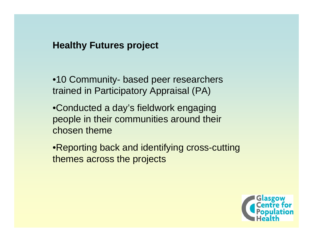#### **Healthy Futures project**

•10 Community- based peer researchers trained in Participatory Appraisal (PA)

•Conducted a day's fieldwork engaging people in their communities around their chosen theme

•Reporting back and identifying cross-cutting themes across the projects

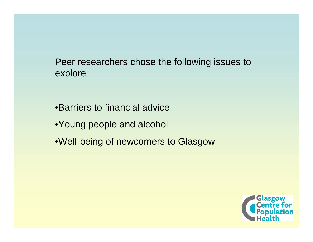#### Peer researchers chose the following issues to explore

•Barriers to financial advice

- •Young people and alcohol
- •Well-being of newcomers to Glasgow

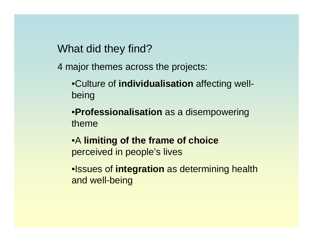What did they find?

4 major themes across the projects:

•Culture of **individualisation** affecting wellbeing

•**Professionalisation** as a disempowering theme

•A **limiting of the frame of choice** perceived in people's lives

•Issues of **integration** as determining health and well-being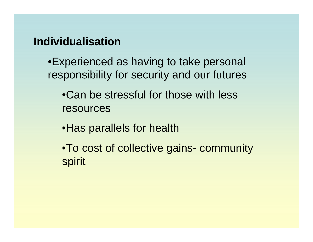## **Individualisation**

•Experienced as having to take personal responsibility for security and our futures

•Can be stressful for those with less resources

•Has parallels for health

•To cost of collective gains- community spirit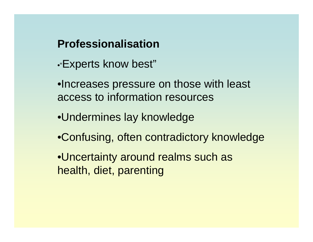# **Professionalisation**

- •"Experts know best"
- •Increases pressure on those with least access to information resources
- •Undermines lay knowledge
- •Confusing, often contradictory knowledge
- •Uncertainty around realms such as health, diet, parenting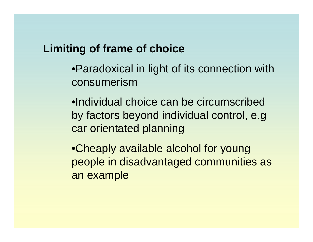## **Limiting of frame of choice**

•Paradoxical in light of its connection with consumerism

•Individual choice can be circumscribed by factors beyond individual control, e.g car orientated planning

•Cheaply available alcohol for young people in disadvantaged communities as an example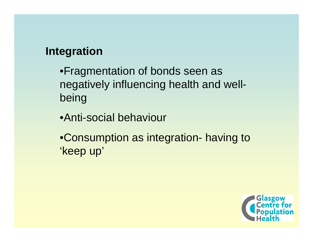# **Integration**

- •Fragmentation of bonds seen as negatively influencing health and wellbeing
- •Anti-social behaviour
- •Consumption as integration- having to 'keep up'

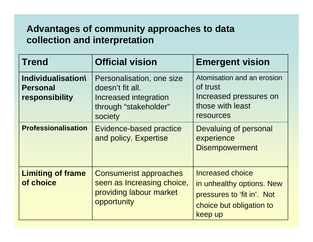## **Advantages of community approaches to data collection and interpretation**

| <b>Trend</b>                                            | <b>Official vision</b>                                                                                     | <b>Emergent vision</b>                                                                                                    |
|---------------------------------------------------------|------------------------------------------------------------------------------------------------------------|---------------------------------------------------------------------------------------------------------------------------|
| Individualisation\<br><b>Personal</b><br>responsibility | Personalisation, one size<br>doesn't fit all.<br>Increased integration<br>through "stakeholder"<br>society | Atomisation and an erosion<br>of trust<br>Increased pressures on<br>those with least<br>resources                         |
| <b>Professionalisation</b>                              | <b>Evidence-based practice</b><br>and policy. Expertise                                                    | Devaluing of personal<br>experience<br><b>Disempowerment</b>                                                              |
| <b>Limiting of frame</b><br>of choice                   | <b>Consumerist approaches</b><br>seen as Increasing choice,<br>providing labour market<br>opportunity      | <b>Increased choice</b><br>in unhealthy options. New<br>pressures to 'fit in'. Not<br>choice but obligation to<br>keep up |